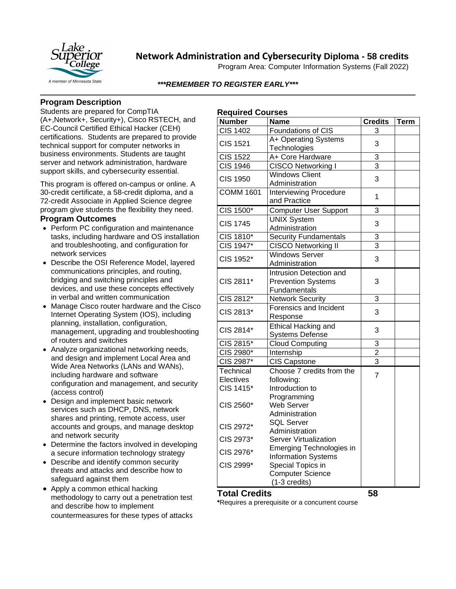

## **Network Administration and Cybersecurity Diploma - 58 credits**

Program Area: Computer Information Systems (Fall 2022)

### *\*\*\*REMEMBER TO REGISTER EARLY\*\*\**

## **Program Description**

Students are prepared for CompTIA (A+,Network+, Security+), Cisco RSTECH, and EC-Council Certified Ethical Hacker (CEH) certifications. Students are prepared to provide technical support for computer networks in business environments. Students are taught server and network administration, hardware support skills, and cybersecurity essential.

This program is offered on-campus or online. A 30-credit certificate, a 58-credit diploma, and a 72-credit Associate in Applied Science degree program give students the flexibility they need.

### **Program Outcomes**

- Perform PC configuration and maintenance tasks, including hardware and OS installation and troubleshooting, and configuration for network services
- Describe the OSI Reference Model, layered communications principles, and routing, bridging and switching principles and devices, and use these concepts effectively in verbal and written communication
- Manage Cisco router hardware and the Cisco Internet Operating System (IOS), including planning, installation, configuration, management, upgrading and troubleshooting of routers and switches
- Analyze organizational networking needs, and design and implement Local Area and Wide Area Networks (LANs and WANs), including hardware and software configuration and management, and security (access control)
- Design and implement basic network services such as DHCP, DNS, network shares and printing, remote access, user accounts and groups, and manage desktop and network security
- Determine the factors involved in developing a secure information technology strategy
- Describe and identify common security threats and attacks and describe how to safeguard against them
- Apply a common ethical hacking methodology to carry out a penetration test and describe how to implement countermeasures for these types of attacks

| <b>Required Courses</b> |  |
|-------------------------|--|
|-------------------------|--|

| <b>Number</b>    | <b>Name</b>                      | <b>Credits</b>                            | <b>Term</b> |
|------------------|----------------------------------|-------------------------------------------|-------------|
| <b>CIS 1402</b>  | Foundations of CIS               | 3                                         |             |
| <b>CIS 1521</b>  | A+ Operating Systems             | 3                                         |             |
|                  | Technologies                     |                                           |             |
| <b>CIS 1522</b>  | A+ Core Hardware                 | 3                                         |             |
| <b>CIS 1946</b>  | CISCO Networking I               | $\overline{3}$                            |             |
| <b>CIS 1950</b>  | <b>Windows Client</b>            | 3                                         |             |
|                  | Administration                   |                                           |             |
| <b>COMM 1601</b> | <b>Interviewing Procedure</b>    | 1                                         |             |
|                  | and Practice                     |                                           |             |
| CIS 1500*        | Computer User Support            | 3                                         |             |
| <b>CIS 1745</b>  | <b>UNIX System</b>               | 3                                         |             |
|                  | Administration                   |                                           |             |
| CIS 1810*        | <b>Security Fundamentals</b>     | 3                                         |             |
| CIS 1947*        | <b>CISCO Networking II</b>       | $\overline{3}$                            |             |
| CIS 1952*        | <b>Windows Server</b>            | 3                                         |             |
|                  | Administration                   |                                           |             |
|                  | Intrusion Detection and          |                                           |             |
| CIS 2811*        | <b>Prevention Systems</b>        | 3                                         |             |
|                  | Fundamentals                     |                                           |             |
| CIS 2812*        | <b>Network Security</b>          | 3                                         |             |
| CIS 2813*        | Forensics and Incident           | 3                                         |             |
|                  | Response                         |                                           |             |
| CIS 2814*        | Ethical Hacking and              | 3                                         |             |
|                  | <b>Systems Defense</b>           |                                           |             |
| CIS 2815*        | <b>Cloud Computing</b>           | 3                                         |             |
| CIS 2980*        | Internship                       | $\overline{\mathbf{c}}$<br>$\overline{3}$ |             |
| CIS 2987*        | <b>CIS Capstone</b>              |                                           |             |
| Technical        | Choose 7 credits from the        | $\overline{7}$                            |             |
| Electives        | following:                       |                                           |             |
| CIS 1415*        | Introduction to                  |                                           |             |
| CIS 2560*        | Programming<br><b>Web Server</b> |                                           |             |
|                  | Administration                   |                                           |             |
| CIS 2972*        | <b>SQL Server</b>                |                                           |             |
|                  | Administration                   |                                           |             |
| CIS 2973*        | <b>Server Virtualization</b>     |                                           |             |
| CIS 2976*        | Emerging Technologies in         |                                           |             |
|                  | <b>Information Systems</b>       |                                           |             |
| CIS 2999*        | Special Topics in                |                                           |             |
|                  | <b>Computer Science</b>          |                                           |             |
|                  | $(1-3$ credits)                  |                                           |             |

### **Total Credits 58**

**\***Requires a prerequisite or a concurrent course